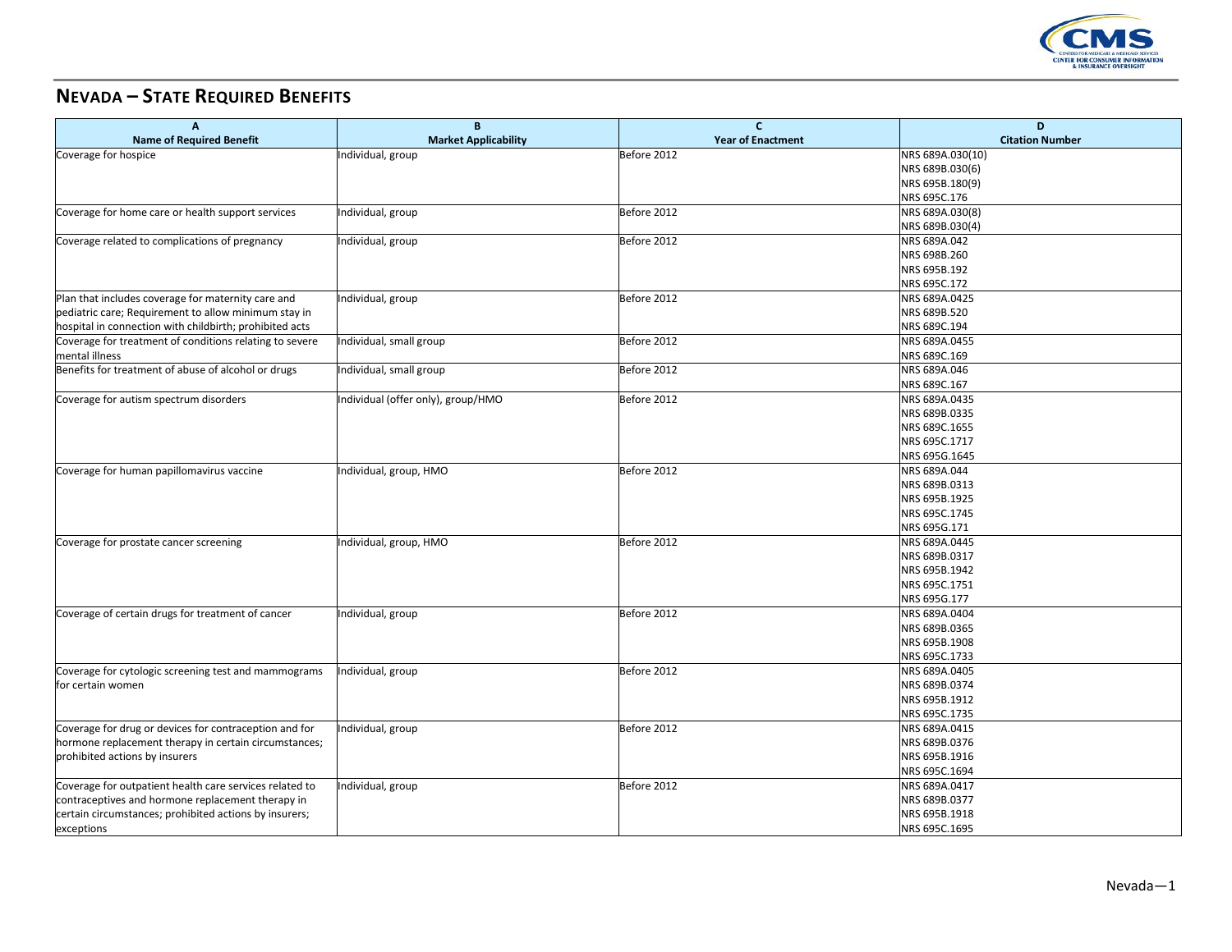

## **NEVADA – STATE REQUIRED BENEFITS**

| $\overline{A}$                                          | B                                  | $\mathsf{C}$             | D                      |
|---------------------------------------------------------|------------------------------------|--------------------------|------------------------|
| <b>Name of Required Benefit</b>                         | <b>Market Applicability</b>        | <b>Year of Enactment</b> | <b>Citation Number</b> |
| Coverage for hospice                                    | Individual, group                  | Before 2012              | NRS 689A.030(10)       |
|                                                         |                                    |                          | NRS 689B.030(6)        |
|                                                         |                                    |                          | NRS 695B.180(9)        |
|                                                         |                                    |                          | NRS 695C.176           |
| Coverage for home care or health support services       | Individual, group                  | Before 2012              | NRS 689A.030(8)        |
|                                                         |                                    |                          | NRS 689B.030(4)        |
| Coverage related to complications of pregnancy          | Individual, group                  | Before 2012              | NRS 689A.042           |
|                                                         |                                    |                          | NRS 698B.260           |
|                                                         |                                    |                          | NRS 695B.192           |
|                                                         |                                    |                          | NRS 695C.172           |
| Plan that includes coverage for maternity care and      | Individual, group                  | Before 2012              | NRS 689A.0425          |
| pediatric care; Requirement to allow minimum stay in    |                                    |                          | NRS 689B.520           |
| hospital in connection with childbirth; prohibited acts |                                    |                          | NRS 689C.194           |
| Coverage for treatment of conditions relating to severe | Individual, small group            | Before 2012              | NRS 689A.0455          |
| mental illness                                          |                                    |                          | NRS 689C.169           |
| Benefits for treatment of abuse of alcohol or drugs     | Individual, small group            | Before 2012              | NRS 689A.046           |
|                                                         |                                    |                          | NRS 689C.167           |
| Coverage for autism spectrum disorders                  | Individual (offer only), group/HMO | Before 2012              | NRS 689A.0435          |
|                                                         |                                    |                          | NRS 689B.0335          |
|                                                         |                                    |                          | NRS 689C.1655          |
|                                                         |                                    |                          | NRS 695C.1717          |
|                                                         |                                    |                          | NRS 695G.1645          |
| Coverage for human papillomavirus vaccine               | Individual, group, HMO             | Before 2012              | NRS 689A.044           |
|                                                         |                                    |                          | NRS 689B.0313          |
|                                                         |                                    |                          | NRS 695B.1925          |
|                                                         |                                    |                          | NRS 695C.1745          |
|                                                         |                                    |                          | NRS 695G.171           |
| Coverage for prostate cancer screening                  | Individual, group, HMO             | Before 2012              | NRS 689A.0445          |
|                                                         |                                    |                          | NRS 689B.0317          |
|                                                         |                                    |                          | NRS 695B.1942          |
|                                                         |                                    |                          | NRS 695C.1751          |
|                                                         |                                    |                          | NRS 695G.177           |
| Coverage of certain drugs for treatment of cancer       | Individual, group                  | Before 2012              | NRS 689A.0404          |
|                                                         |                                    |                          | NRS 689B.0365          |
|                                                         |                                    |                          | NRS 695B.1908          |
|                                                         |                                    |                          | NRS 695C.1733          |
| Coverage for cytologic screening test and mammograms    | Individual, group                  | Before 2012              | NRS 689A.0405          |
| for certain women                                       |                                    |                          | NRS 689B.0374          |
|                                                         |                                    |                          | NRS 695B.1912          |
|                                                         |                                    |                          | NRS 695C.1735          |
| Coverage for drug or devices for contraception and for  | Individual, group                  | Before 2012              | NRS 689A.0415          |
| hormone replacement therapy in certain circumstances;   |                                    |                          | NRS 689B.0376          |
| prohibited actions by insurers                          |                                    |                          | NRS 695B.1916          |
|                                                         |                                    |                          | NRS 695C.1694          |
| Coverage for outpatient health care services related to | Individual, group                  | Before 2012              | NRS 689A.0417          |
| contraceptives and hormone replacement therapy in       |                                    |                          | NRS 689B.0377          |
| certain circumstances; prohibited actions by insurers;  |                                    |                          | NRS 695B.1918          |
| exceptions                                              |                                    |                          | NRS 695C.1695          |